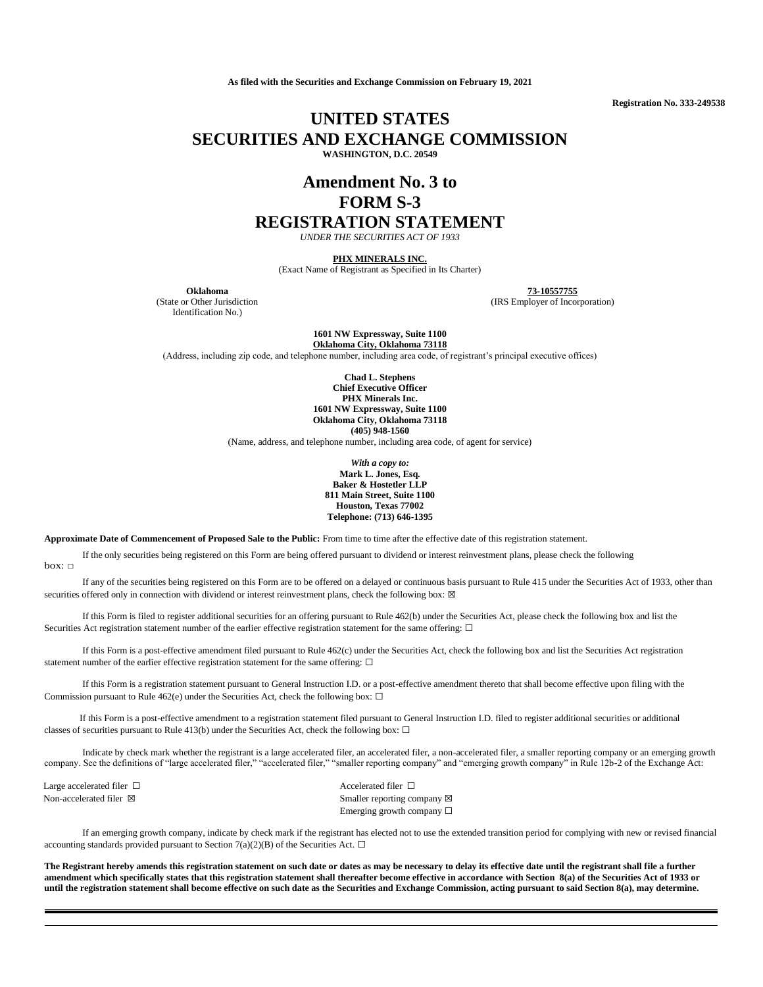**As filed with the Securities and Exchange Commission on February 19, 2021**

**Registration No. 333-249538**

## **UNITED STATES SECURITIES AND EXCHANGE COMMISSION WASHINGTON, D.C. 20549**

# **Amendment No. 3 to FORM S-3 REGISTRATION STATEMENT**

*UNDER THE SECURITIES ACT OF 1933*

**PHX MINERALS INC.**

(Exact Name of Registrant as Specified in Its Charter)

(State or Other Jurisdiction Identification No.)

**Oklahoma 73-10557755**

(IRS Employer of Incorporation)

**1601 NW Expressway, Suite 1100 Oklahoma City, Oklahoma 73118**

(Address, including zip code, and telephone number, including area code, of registrant's principal executive offices)

**Chad L. Stephens Chief Executive Officer PHX Minerals Inc. 1601 NW Expressway, Suite 1100 Oklahoma City, Oklahoma 73118 (405) 948-1560**

(Name, address, and telephone number, including area code, of agent for service)

*With a copy to:* **Mark L. Jones, Esq. Baker & Hostetler LLP 811 Main Street, Suite 1100 Houston, Texas 77002 Telephone: (713) 646-1395**

**Approximate Date of Commencement of Proposed Sale to the Public:** From time to time after the effective date of this registration statement.

If the only securities being registered on this Form are being offered pursuant to dividend or interest reinvestment plans, please check the following  $box:  $\Box$$ 

If any of the securities being registered on this Form are to be offered on a delayed or continuous basis pursuant to Rule 415 under the Securities Act of 1933, other than securities offered only in connection with dividend or interest reinvestment plans, check the following box:  $\boxtimes$ 

If this Form is filed to register additional securities for an offering pursuant to Rule 462(b) under the Securities Act, please check the following box and list the Securities Act registration statement number of the earlier effective registration statement for the same offering: □

If this Form is a post-effective amendment filed pursuant to Rule 462(c) under the Securities Act, check the following box and list the Securities Act registration statement number of the earlier effective registration statement for the same offering:  $\Box$ 

If this Form is a registration statement pursuant to General Instruction I.D. or a post-effective amendment thereto that shall become effective upon filing with the Commission pursuant to Rule 462(e) under the Securities Act, check the following box:  $\Box$ 

If this Form is a post-effective amendment to a registration statement filed pursuant to General Instruction I.D. filed to register additional securities or additional classes of securities pursuant to Rule 413(b) under the Securities Act, check the following box:  $\Box$ 

Indicate by check mark whether the registrant is a large accelerated filer, an accelerated filer, a non-accelerated filer, a smaller reporting company or an emerging growth company. See the definitions of "large accelerated filer," "accelerated filer," "smaller reporting company" and "emerging growth company" in Rule 12b-2 of the Exchange Act:

Large accelerated filer □ accelerated filer □ accelerated filer □

Non-accelerated filer ⊠ Smaller reporting company ⊠ Emerging growth company ☐

If an emerging growth company, indicate by check mark if the registrant has elected not to use the extended transition period for complying with new or revised financial accounting standards provided pursuant to Section 7(a)(2)(B) of the Securities Act.  $\Box$ 

**The Registrant hereby amends this registration statement on such date or dates as may be necessary to delay its effective date until the registrant shall file a further amendment which specifically states that this registration statement shall thereafter become effective in accordance with Section 8(a) of the Securities Act of 1933 or until the registration statement shall become effective on such date as the Securities and Exchange Commission, acting pursuant to said Section 8(a), may determine.**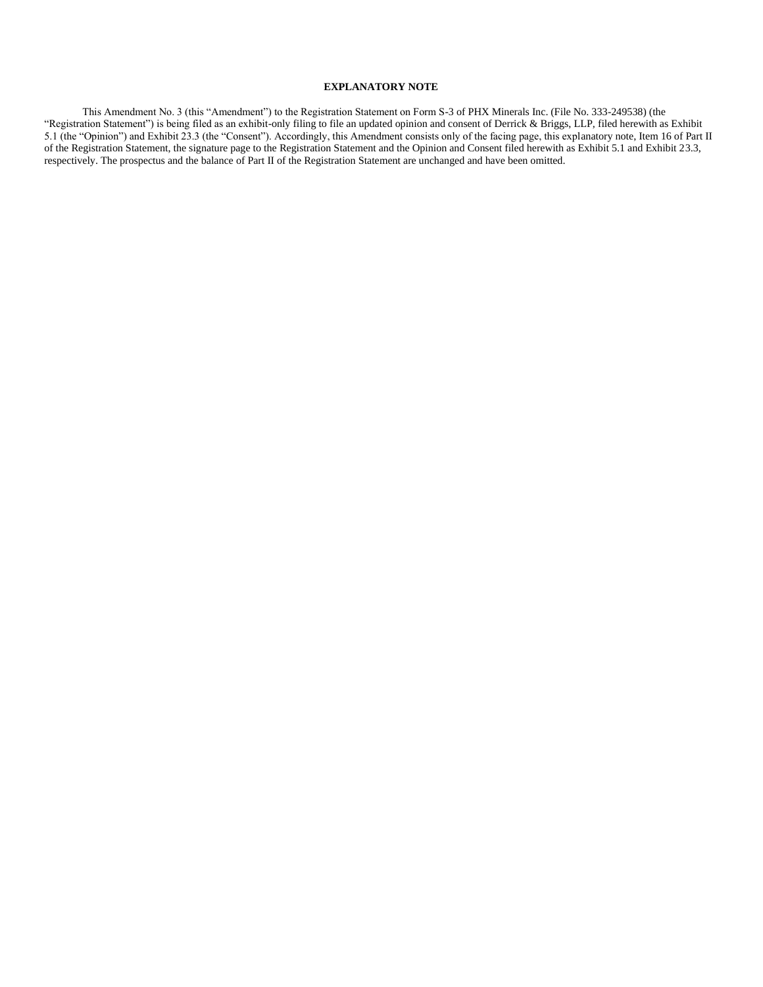## **EXPLANATORY NOTE**

This Amendment No. 3 (this "Amendment") to the Registration Statement on Form S-3 of PHX Minerals Inc. (File No. 333-249538) (the "Registration Statement") is being filed as an exhibit-only filing to file an updated opinion and consent of Derrick & Briggs, LLP, filed herewith as Exhibit 5.1 (the "Opinion") and Exhibit 23.3 (the "Consent"). Accordingly, this Amendment consists only of the facing page, this explanatory note, Item 16 of Part II of the Registration Statement, the signature page to the Registration Statement and the Opinion and Consent filed herewith as Exhibit 5.1 and Exhibit 23.3, respectively. The prospectus and the balance of Part II of the Registration Statement are unchanged and have been omitted.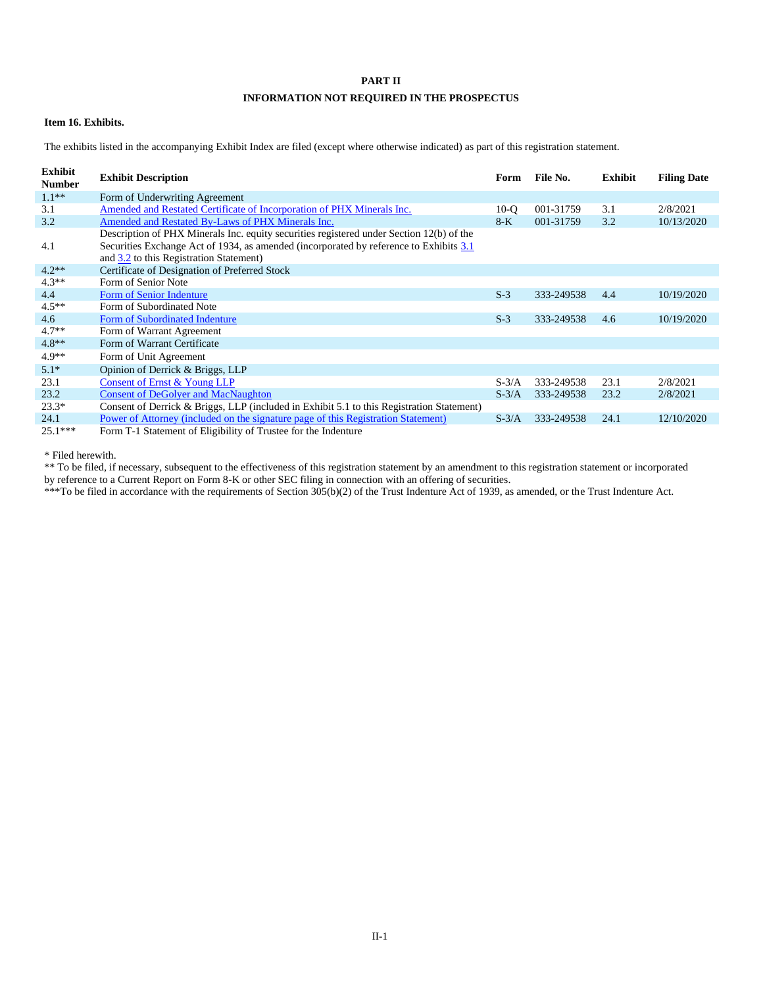## **PART II**

## **INFORMATION NOT REQUIRED IN THE PROSPECTUS**

#### **Item 16. Exhibits.**

The exhibits listed in the accompanying Exhibit Index are filed (except where otherwise indicated) as part of this registration statement.

| Exhibit<br><b>Number</b> | <b>Exhibit Description</b>                                                                                                                                                                                                    | Form    | File No.   | Exhibit | <b>Filing Date</b> |
|--------------------------|-------------------------------------------------------------------------------------------------------------------------------------------------------------------------------------------------------------------------------|---------|------------|---------|--------------------|
| $1.1**$                  | Form of Underwriting Agreement                                                                                                                                                                                                |         |            |         |                    |
| 3.1                      | Amended and Restated Certificate of Incorporation of PHX Minerals Inc.                                                                                                                                                        | $10-o$  | 001-31759  | 3.1     | 2/8/2021           |
| 3.2                      | Amended and Restated By-Laws of PHX Minerals Inc.                                                                                                                                                                             | $8-K$   | 001-31759  | 3.2     | 10/13/2020         |
| 4.1                      | Description of PHX Minerals Inc. equity securities registered under Section 12(b) of the<br>Securities Exchange Act of 1934, as amended (incorporated by reference to Exhibits 3.1<br>and 3.2 to this Registration Statement) |         |            |         |                    |
| $4.2**$                  | Certificate of Designation of Preferred Stock                                                                                                                                                                                 |         |            |         |                    |
| $4.3**$                  | Form of Senior Note                                                                                                                                                                                                           |         |            |         |                    |
| 4.4                      | Form of Senior Indenture                                                                                                                                                                                                      | $S-3$   | 333-249538 | 4.4     | 10/19/2020         |
| $4.5**$                  | Form of Subordinated Note                                                                                                                                                                                                     |         |            |         |                    |
| 4.6                      | Form of Subordinated Indenture                                                                                                                                                                                                | $S-3$   | 333-249538 | 4.6     | 10/19/2020         |
| $4.7**$                  | Form of Warrant Agreement                                                                                                                                                                                                     |         |            |         |                    |
| $4.8**$                  | Form of Warrant Certificate                                                                                                                                                                                                   |         |            |         |                    |
| $4.9**$                  | Form of Unit Agreement                                                                                                                                                                                                        |         |            |         |                    |
| $5.1*$                   | Opinion of Derrick & Briggs, LLP                                                                                                                                                                                              |         |            |         |                    |
| 23.1                     | Consent of Ernst & Young LLP                                                                                                                                                                                                  | $S-3/A$ | 333-249538 | 23.1    | 2/8/2021           |
| 23.2                     | <b>Consent of DeGolyer and MacNaughton</b>                                                                                                                                                                                    | $S-3/A$ | 333-249538 | 23.2    | 2/8/2021           |
| $23.3*$                  | Consent of Derrick & Briggs, LLP (included in Exhibit 5.1 to this Registration Statement)                                                                                                                                     |         |            |         |                    |
| 24.1                     | Power of Attorney (included on the signature page of this Registration Statement)                                                                                                                                             | $S-3/A$ | 333-249538 | 24.1    | 12/10/2020         |
| $25.1***$                | Form T-1 Statement of Eligibility of Trustee for the Indenture                                                                                                                                                                |         |            |         |                    |

\* Filed herewith.

\*\* To be filed, if necessary, subsequent to the effectiveness of this registration statement by an amendment to this registration statement or incorporated by reference to a Current Report on Form 8-K or other SEC filing in connection with an offering of securities.

\*\*\*To be filed in accordance with the requirements of Section 305(b)(2) of the Trust Indenture Act of 1939, as amended, or the Trust Indenture Act.